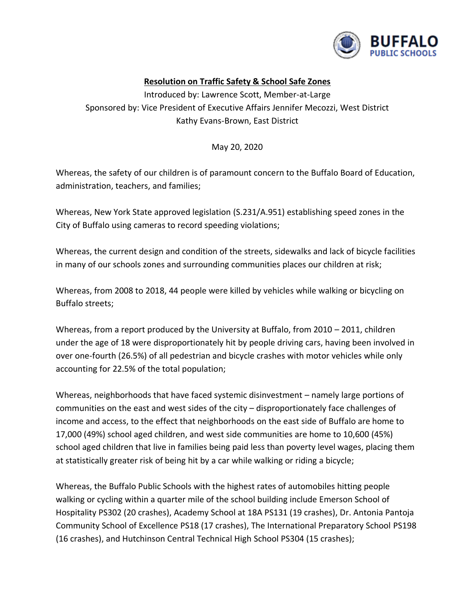

## **Resolution on Traffic Safety & School Safe Zones**

Introduced by: Lawrence Scott, Member-at-Large Sponsored by: Vice President of Executive Affairs Jennifer Mecozzi, West District Kathy Evans-Brown, East District

May 20, 2020

Whereas, the safety of our children is of paramount concern to the Buffalo Board of Education, administration, teachers, and families;

Whereas, New York State approved legislation (S.231/A.951) establishing speed zones in the City of Buffalo using cameras to record speeding violations;

Whereas, the current design and condition of the streets, sidewalks and lack of bicycle facilities in many of our schools zones and surrounding communities places our children at risk;

Whereas, from 2008 to 2018, 44 people were killed by vehicles while walking or bicycling on Buffalo streets;

Whereas, from a report produced by the University at Buffalo, from 2010 – 2011, children under the age of 18 were disproportionately hit by people driving cars, having been involved in over one-fourth (26.5%) of all pedestrian and bicycle crashes with motor vehicles while only accounting for 22.5% of the total population;

Whereas, neighborhoods that have faced systemic disinvestment – namely large portions of communities on the east and west sides of the city – disproportionately face challenges of income and access, to the effect that neighborhoods on the east side of Buffalo are home to 17,000 (49%) school aged children, and west side communities are home to 10,600 (45%) school aged children that live in families being paid less than poverty level wages, placing them at statistically greater risk of being hit by a car while walking or riding a bicycle;

Whereas, the Buffalo Public Schools with the highest rates of automobiles hitting people walking or cycling within a quarter mile of the school building include Emerson School of Hospitality PS302 (20 crashes), Academy School at 18A PS131 (19 crashes), Dr. Antonia Pantoja Community School of Excellence PS18 (17 crashes), The International Preparatory School PS198 (16 crashes), and Hutchinson Central Technical High School PS304 (15 crashes);